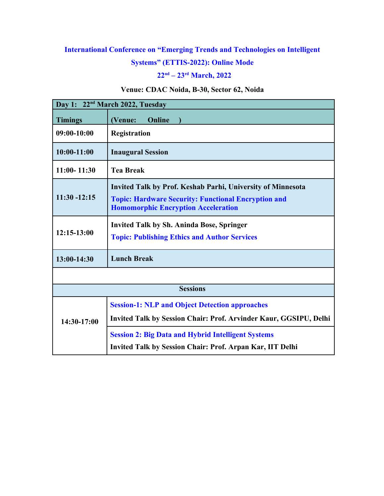## **International Conference on "Emerging Trends and Technologies on Intelligent**

#### **Systems" (ETTIS-2022): Online Mode**

## **22nd – 23rd March, 2022**

#### **Venue: CDAC Noida, B-30, Sector 62, Noida**

| Day 1: 22 <sup>nd</sup> March 2022, Tuesday |                                                                                                                                                                                |  |  |  |
|---------------------------------------------|--------------------------------------------------------------------------------------------------------------------------------------------------------------------------------|--|--|--|
| <b>Timings</b>                              | Online<br>(Venue:                                                                                                                                                              |  |  |  |
| $09:00-10:00$                               | Registration                                                                                                                                                                   |  |  |  |
| 10:00-11:00                                 | <b>Inaugural Session</b>                                                                                                                                                       |  |  |  |
| $11:00 - 11:30$                             | <b>Tea Break</b>                                                                                                                                                               |  |  |  |
| $11:30 - 12:15$                             | <b>Invited Talk by Prof. Keshab Parhi, University of Minnesota</b><br><b>Topic: Hardware Security: Functional Encryption and</b><br><b>Homomorphic Encryption Acceleration</b> |  |  |  |
| $12:15-13:00$                               | <b>Invited Talk by Sh. Aninda Bose, Springer</b><br><b>Topic: Publishing Ethics and Author Services</b>                                                                        |  |  |  |
| 13:00-14:30                                 | <b>Lunch Break</b>                                                                                                                                                             |  |  |  |
|                                             |                                                                                                                                                                                |  |  |  |
| <b>Sessions</b>                             |                                                                                                                                                                                |  |  |  |
| 14:30-17:00                                 | <b>Session-1: NLP and Object Detection approaches</b>                                                                                                                          |  |  |  |
|                                             | Invited Talk by Session Chair: Prof. Arvinder Kaur, GGSIPU, Delhi                                                                                                              |  |  |  |
|                                             | <b>Session 2: Big Data and Hybrid Intelligent Systems</b>                                                                                                                      |  |  |  |
|                                             | <b>Invited Talk by Session Chair: Prof. Arpan Kar, IIT Delhi</b>                                                                                                               |  |  |  |